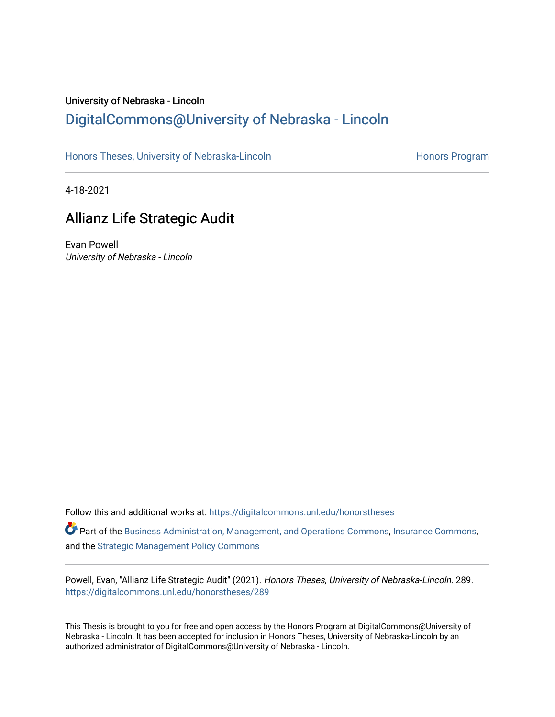# University of Nebraska - Lincoln [DigitalCommons@University of Nebraska - Lincoln](https://digitalcommons.unl.edu/)

[Honors Theses, University of Nebraska-Lincoln](https://digitalcommons.unl.edu/honorstheses) **Honors Program** Honors Program

4-18-2021

# Allianz Life Strategic Audit

Evan Powell University of Nebraska - Lincoln

Follow this and additional works at: [https://digitalcommons.unl.edu/honorstheses](https://digitalcommons.unl.edu/honorstheses?utm_source=digitalcommons.unl.edu%2Fhonorstheses%2F289&utm_medium=PDF&utm_campaign=PDFCoverPages)

Part of the [Business Administration, Management, and Operations Commons](http://network.bepress.com/hgg/discipline/623?utm_source=digitalcommons.unl.edu%2Fhonorstheses%2F289&utm_medium=PDF&utm_campaign=PDFCoverPages), [Insurance Commons,](http://network.bepress.com/hgg/discipline/645?utm_source=digitalcommons.unl.edu%2Fhonorstheses%2F289&utm_medium=PDF&utm_campaign=PDFCoverPages) and the [Strategic Management Policy Commons](http://network.bepress.com/hgg/discipline/642?utm_source=digitalcommons.unl.edu%2Fhonorstheses%2F289&utm_medium=PDF&utm_campaign=PDFCoverPages)

Powell, Evan, "Allianz Life Strategic Audit" (2021). Honors Theses, University of Nebraska-Lincoln. 289. [https://digitalcommons.unl.edu/honorstheses/289](https://digitalcommons.unl.edu/honorstheses/289?utm_source=digitalcommons.unl.edu%2Fhonorstheses%2F289&utm_medium=PDF&utm_campaign=PDFCoverPages)

This Thesis is brought to you for free and open access by the Honors Program at DigitalCommons@University of Nebraska - Lincoln. It has been accepted for inclusion in Honors Theses, University of Nebraska-Lincoln by an authorized administrator of DigitalCommons@University of Nebraska - Lincoln.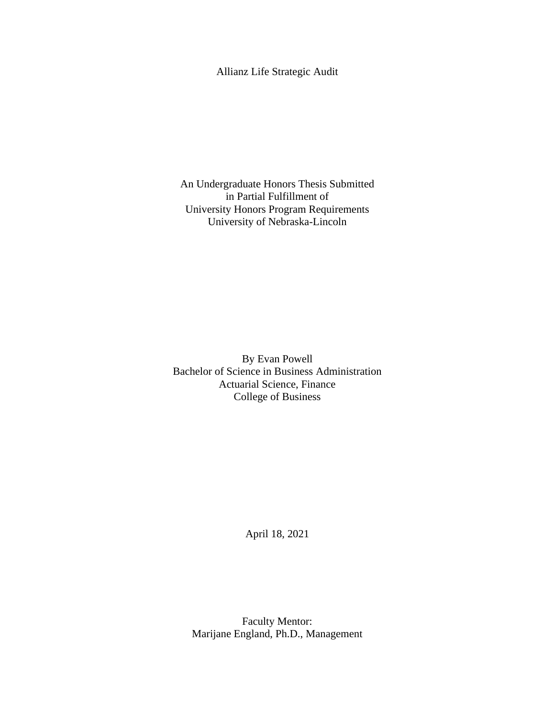## Allianz Life Strategic Audit

An Undergraduate Honors Thesis Submitted in Partial Fulfillment of University Honors Program Requirements University of Nebraska-Lincoln

By Evan Powell Bachelor of Science in Business Administration Actuarial Science, Finance College of Business

April 18, 2021

Faculty Mentor: Marijane England, Ph.D., Management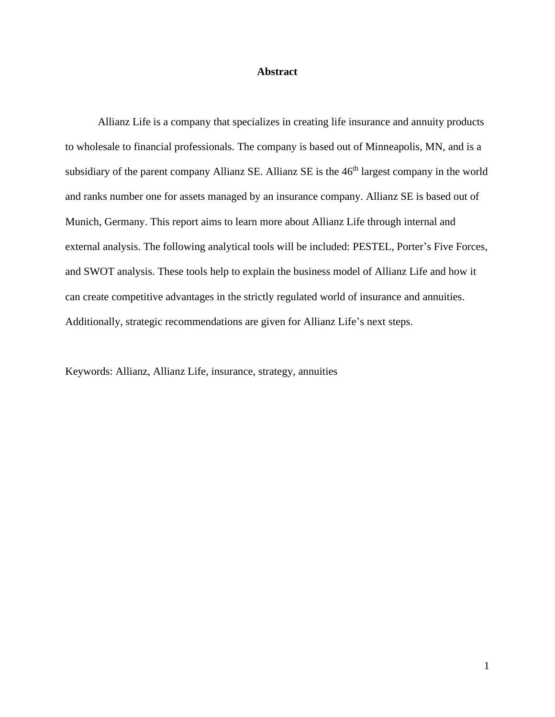#### **Abstract**

Allianz Life is a company that specializes in creating life insurance and annuity products to wholesale to financial professionals. The company is based out of Minneapolis, MN, and is a subsidiary of the parent company Allianz SE. Allianz SE is the 46<sup>th</sup> largest company in the world and ranks number one for assets managed by an insurance company. Allianz SE is based out of Munich, Germany. This report aims to learn more about Allianz Life through internal and external analysis. The following analytical tools will be included: PESTEL, Porter's Five Forces, and SWOT analysis. These tools help to explain the business model of Allianz Life and how it can create competitive advantages in the strictly regulated world of insurance and annuities. Additionally, strategic recommendations are given for Allianz Life's next steps.

Keywords: Allianz, Allianz Life, insurance, strategy, annuities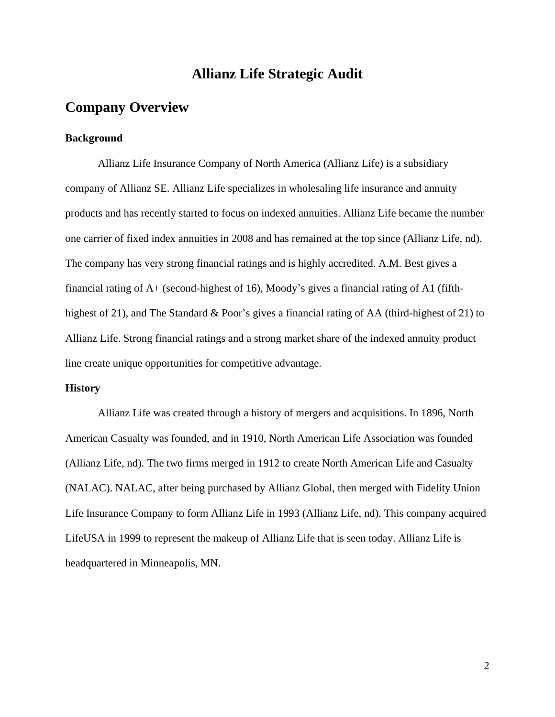## **Allianz Life Strategic Audit**

## **Company Overview**

#### **Background**

Allianz Life Insurance Company of North America (Allianz Life) is a subsidiary company of Allianz SE. Allianz Life specializes in wholesaling life insurance and annuity products and has recently started to focus on indexed annuities. Allianz Life became the number one carrier of fixed index annuities in 2008 and has remained at the top since (Allianz Life, nd). The company has very strong financial ratings and is highly accredited. A.M. Best gives a financial rating of A+ (second-highest of 16), Moody's gives a financial rating of A1 (fifthhighest of 21), and The Standard & Poor's gives a financial rating of AA (third-highest of 21) to Allianz Life. Strong financial ratings and a strong market share of the indexed annuity product line create unique opportunities for competitive advantage.

### **History**

Allianz Life was created through a history of mergers and acquisitions. In 1896, North American Casualty was founded, and in 1910, North American Life Association was founded (Allianz Life, nd). The two firms merged in 1912 to create North American Life and Casualty (NALAC). NALAC, after being purchased by Allianz Global, then merged with Fidelity Union Life Insurance Company to form Allianz Life in 1993 (Allianz Life, nd). This company acquired LifeUSA in 1999 to represent the makeup of Allianz Life that is seen today. Allianz Life is headquartered in Minneapolis, MN.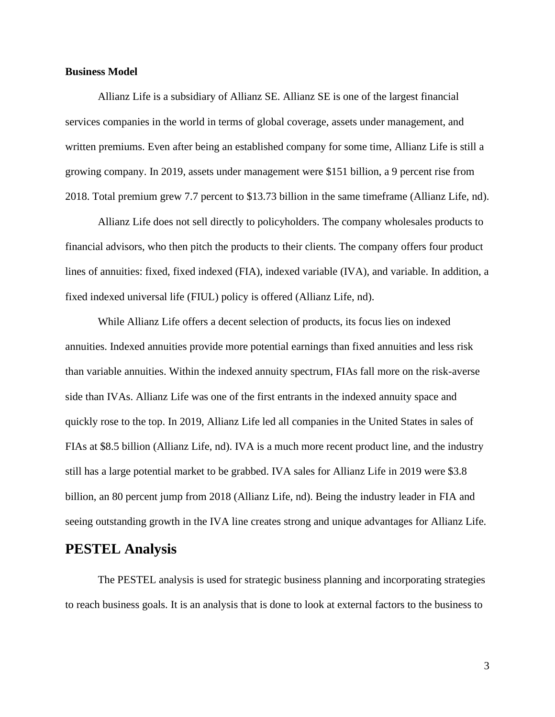#### **Business Model**

Allianz Life is a subsidiary of Allianz SE. Allianz SE is one of the largest financial services companies in the world in terms of global coverage, assets under management, and written premiums. Even after being an established company for some time, Allianz Life is still a growing company. In 2019, assets under management were \$151 billion, a 9 percent rise from 2018. Total premium grew 7.7 percent to \$13.73 billion in the same timeframe (Allianz Life, nd).

Allianz Life does not sell directly to policyholders. The company wholesales products to financial advisors, who then pitch the products to their clients. The company offers four product lines of annuities: fixed, fixed indexed (FIA), indexed variable (IVA), and variable. In addition, a fixed indexed universal life (FIUL) policy is offered (Allianz Life, nd).

While Allianz Life offers a decent selection of products, its focus lies on indexed annuities. Indexed annuities provide more potential earnings than fixed annuities and less risk than variable annuities. Within the indexed annuity spectrum, FIAs fall more on the risk-averse side than IVAs. Allianz Life was one of the first entrants in the indexed annuity space and quickly rose to the top. In 2019, Allianz Life led all companies in the United States in sales of FIAs at \$8.5 billion (Allianz Life, nd). IVA is a much more recent product line, and the industry still has a large potential market to be grabbed. IVA sales for Allianz Life in 2019 were \$3.8 billion, an 80 percent jump from 2018 (Allianz Life, nd). Being the industry leader in FIA and seeing outstanding growth in the IVA line creates strong and unique advantages for Allianz Life.

## **PESTEL Analysis**

The PESTEL analysis is used for strategic business planning and incorporating strategies to reach business goals. It is an analysis that is done to look at external factors to the business to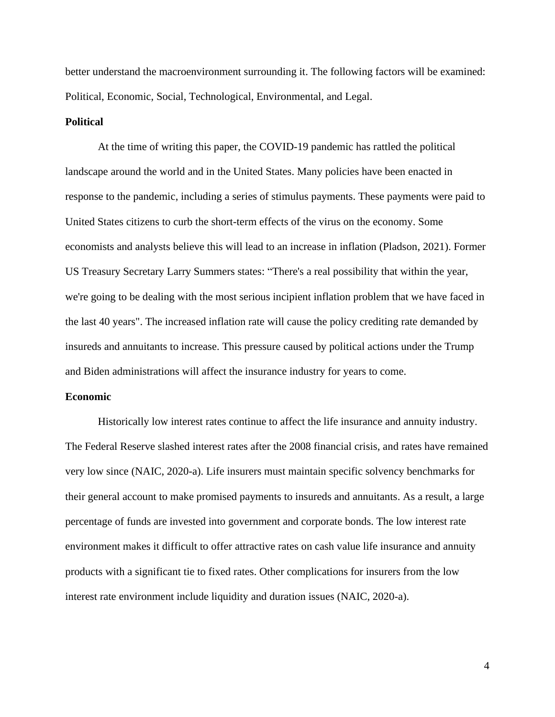better understand the macroenvironment surrounding it. The following factors will be examined: Political, Economic, Social, Technological, Environmental, and Legal.

#### **Political**

At the time of writing this paper, the COVID-19 pandemic has rattled the political landscape around the world and in the United States. Many policies have been enacted in response to the pandemic, including a series of stimulus payments. These payments were paid to United States citizens to curb the short-term effects of the virus on the economy. Some economists and analysts believe this will lead to an increase in inflation (Pladson, 2021). Former US Treasury Secretary Larry Summers states: "There's a real possibility that within the year, we're going to be dealing with the most serious incipient inflation problem that we have faced in the last 40 years". The increased inflation rate will cause the policy crediting rate demanded by insureds and annuitants to increase. This pressure caused by political actions under the Trump and Biden administrations will affect the insurance industry for years to come.

#### **Economic**

Historically low interest rates continue to affect the life insurance and annuity industry. The Federal Reserve slashed interest rates after the 2008 financial crisis, and rates have remained very low since (NAIC, 2020-a). Life insurers must maintain specific solvency benchmarks for their general account to make promised payments to insureds and annuitants. As a result, a large percentage of funds are invested into government and corporate bonds. The low interest rate environment makes it difficult to offer attractive rates on cash value life insurance and annuity products with a significant tie to fixed rates. Other complications for insurers from the low interest rate environment include liquidity and duration issues (NAIC, 2020-a).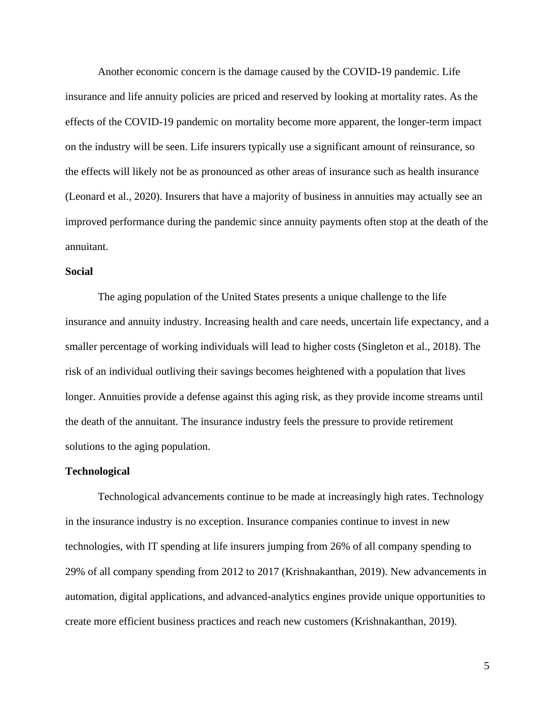Another economic concern is the damage caused by the COVID-19 pandemic. Life insurance and life annuity policies are priced and reserved by looking at mortality rates. As the effects of the COVID-19 pandemic on mortality become more apparent, the longer-term impact on the industry will be seen. Life insurers typically use a significant amount of reinsurance, so the effects will likely not be as pronounced as other areas of insurance such as health insurance (Leonard et al., 2020). Insurers that have a majority of business in annuities may actually see an improved performance during the pandemic since annuity payments often stop at the death of the annuitant.

#### **Social**

The aging population of the United States presents a unique challenge to the life insurance and annuity industry. Increasing health and care needs, uncertain life expectancy, and a smaller percentage of working individuals will lead to higher costs (Singleton et al., 2018). The risk of an individual outliving their savings becomes heightened with a population that lives longer. Annuities provide a defense against this aging risk, as they provide income streams until the death of the annuitant. The insurance industry feels the pressure to provide retirement solutions to the aging population.

#### **Technological**

Technological advancements continue to be made at increasingly high rates. Technology in the insurance industry is no exception. Insurance companies continue to invest in new technologies, with IT spending at life insurers jumping from 26% of all company spending to 29% of all company spending from 2012 to 2017 (Krishnakanthan, 2019). New advancements in automation, digital applications, and advanced-analytics engines provide unique opportunities to create more efficient business practices and reach new customers (Krishnakanthan, 2019).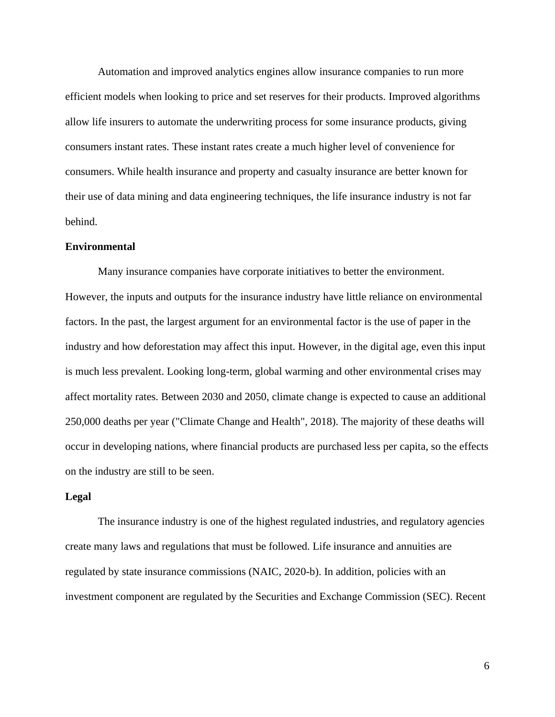Automation and improved analytics engines allow insurance companies to run more efficient models when looking to price and set reserves for their products. Improved algorithms allow life insurers to automate the underwriting process for some insurance products, giving consumers instant rates. These instant rates create a much higher level of convenience for consumers. While health insurance and property and casualty insurance are better known for their use of data mining and data engineering techniques, the life insurance industry is not far behind.

#### **Environmental**

Many insurance companies have corporate initiatives to better the environment. However, the inputs and outputs for the insurance industry have little reliance on environmental factors. In the past, the largest argument for an environmental factor is the use of paper in the industry and how deforestation may affect this input. However, in the digital age, even this input is much less prevalent. Looking long-term, global warming and other environmental crises may affect mortality rates. Between 2030 and 2050, climate change is expected to cause an additional 250,000 deaths per year ("Climate Change and Health", 2018). The majority of these deaths will occur in developing nations, where financial products are purchased less per capita, so the effects on the industry are still to be seen.

#### **Legal**

The insurance industry is one of the highest regulated industries, and regulatory agencies create many laws and regulations that must be followed. Life insurance and annuities are regulated by state insurance commissions (NAIC, 2020-b). In addition, policies with an investment component are regulated by the Securities and Exchange Commission (SEC). Recent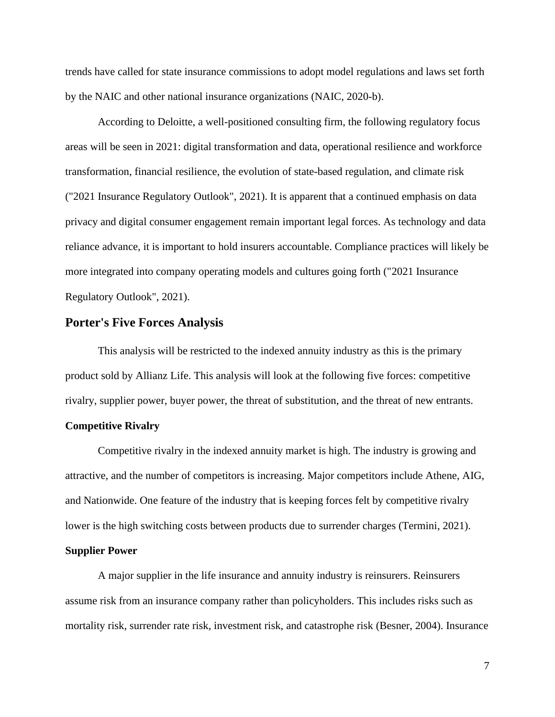trends have called for state insurance commissions to adopt model regulations and laws set forth by the NAIC and other national insurance organizations (NAIC, 2020-b).

According to Deloitte, a well-positioned consulting firm, the following regulatory focus areas will be seen in 2021: digital transformation and data, operational resilience and workforce transformation, financial resilience, the evolution of state-based regulation, and climate risk ("2021 Insurance Regulatory Outlook", 2021). It is apparent that a continued emphasis on data privacy and digital consumer engagement remain important legal forces. As technology and data reliance advance, it is important to hold insurers accountable. Compliance practices will likely be more integrated into company operating models and cultures going forth ("2021 Insurance Regulatory Outlook", 2021).

### **Porter's Five Forces Analysis**

This analysis will be restricted to the indexed annuity industry as this is the primary product sold by Allianz Life. This analysis will look at the following five forces: competitive rivalry, supplier power, buyer power, the threat of substitution, and the threat of new entrants.

### **Competitive Rivalry**

Competitive rivalry in the indexed annuity market is high. The industry is growing and attractive, and the number of competitors is increasing. Major competitors include Athene, AIG, and Nationwide. One feature of the industry that is keeping forces felt by competitive rivalry lower is the high switching costs between products due to surrender charges (Termini, 2021).

#### **Supplier Power**

A major supplier in the life insurance and annuity industry is reinsurers. Reinsurers assume risk from an insurance company rather than policyholders. This includes risks such as mortality risk, surrender rate risk, investment risk, and catastrophe risk (Besner, 2004). Insurance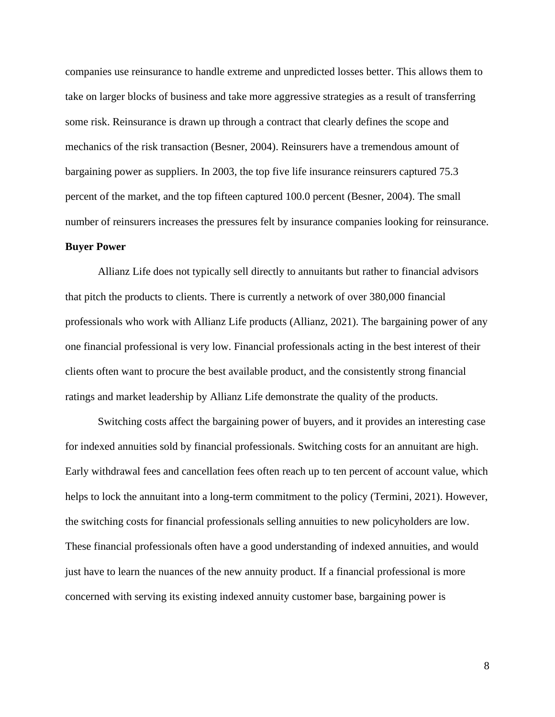companies use reinsurance to handle extreme and unpredicted losses better. This allows them to take on larger blocks of business and take more aggressive strategies as a result of transferring some risk. Reinsurance is drawn up through a contract that clearly defines the scope and mechanics of the risk transaction (Besner, 2004). Reinsurers have a tremendous amount of bargaining power as suppliers. In 2003, the top five life insurance reinsurers captured 75.3 percent of the market, and the top fifteen captured 100.0 percent (Besner, 2004). The small number of reinsurers increases the pressures felt by insurance companies looking for reinsurance.

### **Buyer Power**

Allianz Life does not typically sell directly to annuitants but rather to financial advisors that pitch the products to clients. There is currently a network of over 380,000 financial professionals who work with Allianz Life products (Allianz, 2021). The bargaining power of any one financial professional is very low. Financial professionals acting in the best interest of their clients often want to procure the best available product, and the consistently strong financial ratings and market leadership by Allianz Life demonstrate the quality of the products.

Switching costs affect the bargaining power of buyers, and it provides an interesting case for indexed annuities sold by financial professionals. Switching costs for an annuitant are high. Early withdrawal fees and cancellation fees often reach up to ten percent of account value, which helps to lock the annuitant into a long-term commitment to the policy (Termini, 2021). However, the switching costs for financial professionals selling annuities to new policyholders are low. These financial professionals often have a good understanding of indexed annuities, and would just have to learn the nuances of the new annuity product. If a financial professional is more concerned with serving its existing indexed annuity customer base, bargaining power is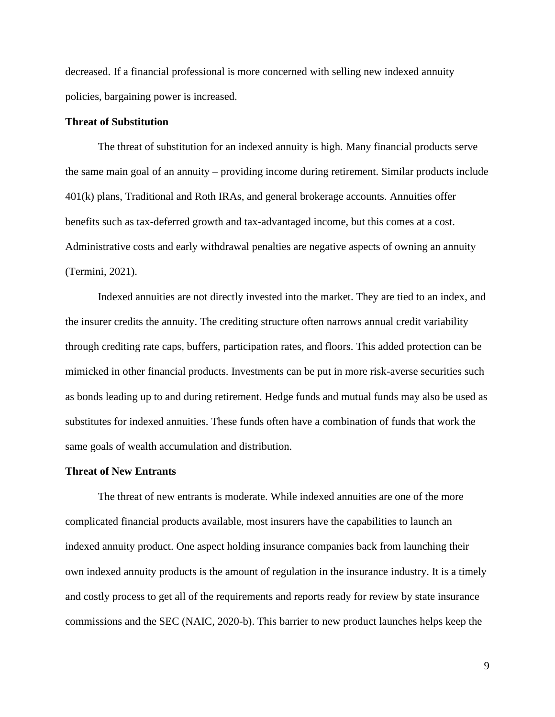decreased. If a financial professional is more concerned with selling new indexed annuity policies, bargaining power is increased.

#### **Threat of Substitution**

The threat of substitution for an indexed annuity is high. Many financial products serve the same main goal of an annuity – providing income during retirement. Similar products include 401(k) plans, Traditional and Roth IRAs, and general brokerage accounts. Annuities offer benefits such as tax-deferred growth and tax-advantaged income, but this comes at a cost. Administrative costs and early withdrawal penalties are negative aspects of owning an annuity (Termini, 2021).

Indexed annuities are not directly invested into the market. They are tied to an index, and the insurer credits the annuity. The crediting structure often narrows annual credit variability through crediting rate caps, buffers, participation rates, and floors. This added protection can be mimicked in other financial products. Investments can be put in more risk-averse securities such as bonds leading up to and during retirement. Hedge funds and mutual funds may also be used as substitutes for indexed annuities. These funds often have a combination of funds that work the same goals of wealth accumulation and distribution.

#### **Threat of New Entrants**

The threat of new entrants is moderate. While indexed annuities are one of the more complicated financial products available, most insurers have the capabilities to launch an indexed annuity product. One aspect holding insurance companies back from launching their own indexed annuity products is the amount of regulation in the insurance industry. It is a timely and costly process to get all of the requirements and reports ready for review by state insurance commissions and the SEC (NAIC, 2020-b). This barrier to new product launches helps keep the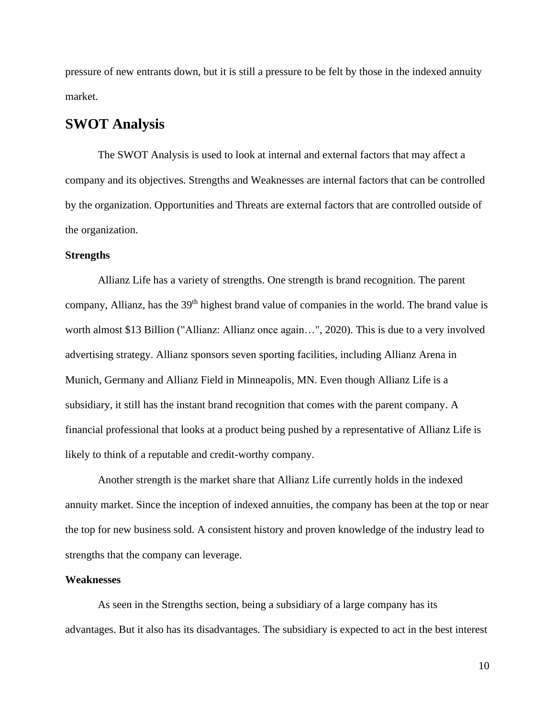pressure of new entrants down, but it is still a pressure to be felt by those in the indexed annuity market.

## **SWOT Analysis**

The SWOT Analysis is used to look at internal and external factors that may affect a company and its objectives. Strengths and Weaknesses are internal factors that can be controlled by the organization. Opportunities and Threats are external factors that are controlled outside of the organization.

### **Strengths**

Allianz Life has a variety of strengths. One strength is brand recognition. The parent company, Allianz, has the 39<sup>th</sup> highest brand value of companies in the world. The brand value is worth almost \$13 Billion ("Allianz: Allianz once again…", 2020). This is due to a very involved advertising strategy. Allianz sponsors seven sporting facilities, including Allianz Arena in Munich, Germany and Allianz Field in Minneapolis, MN. Even though Allianz Life is a subsidiary, it still has the instant brand recognition that comes with the parent company. A financial professional that looks at a product being pushed by a representative of Allianz Life is likely to think of a reputable and credit-worthy company.

Another strength is the market share that Allianz Life currently holds in the indexed annuity market. Since the inception of indexed annuities, the company has been at the top or near the top for new business sold. A consistent history and proven knowledge of the industry lead to strengths that the company can leverage.

### **Weaknesses**

As seen in the Strengths section, being a subsidiary of a large company has its advantages. But it also has its disadvantages. The subsidiary is expected to act in the best interest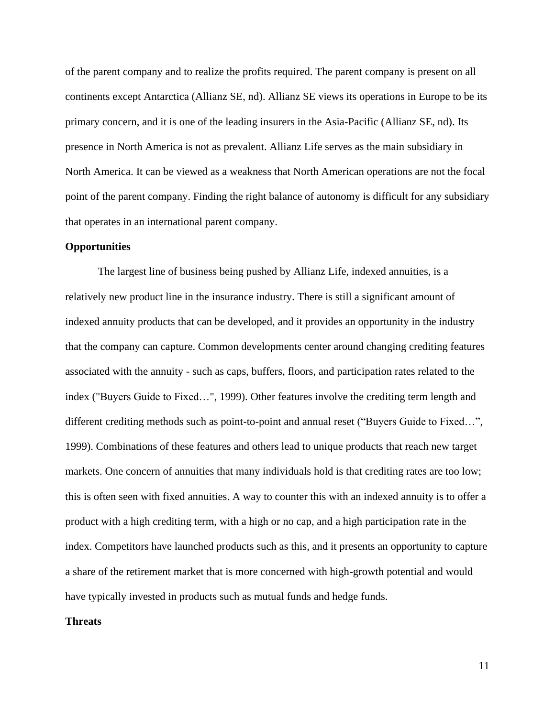of the parent company and to realize the profits required. The parent company is present on all continents except Antarctica (Allianz SE, nd). Allianz SE views its operations in Europe to be its primary concern, and it is one of the leading insurers in the Asia-Pacific (Allianz SE, nd). Its presence in North America is not as prevalent. Allianz Life serves as the main subsidiary in North America. It can be viewed as a weakness that North American operations are not the focal point of the parent company. Finding the right balance of autonomy is difficult for any subsidiary that operates in an international parent company.

#### **Opportunities**

The largest line of business being pushed by Allianz Life, indexed annuities, is a relatively new product line in the insurance industry. There is still a significant amount of indexed annuity products that can be developed, and it provides an opportunity in the industry that the company can capture. Common developments center around changing crediting features associated with the annuity - such as caps, buffers, floors, and participation rates related to the index ("Buyers Guide to Fixed…", 1999). Other features involve the crediting term length and different crediting methods such as point-to-point and annual reset ("Buyers Guide to Fixed…", 1999). Combinations of these features and others lead to unique products that reach new target markets. One concern of annuities that many individuals hold is that crediting rates are too low; this is often seen with fixed annuities. A way to counter this with an indexed annuity is to offer a product with a high crediting term, with a high or no cap, and a high participation rate in the index. Competitors have launched products such as this, and it presents an opportunity to capture a share of the retirement market that is more concerned with high-growth potential and would have typically invested in products such as mutual funds and hedge funds.

#### **Threats**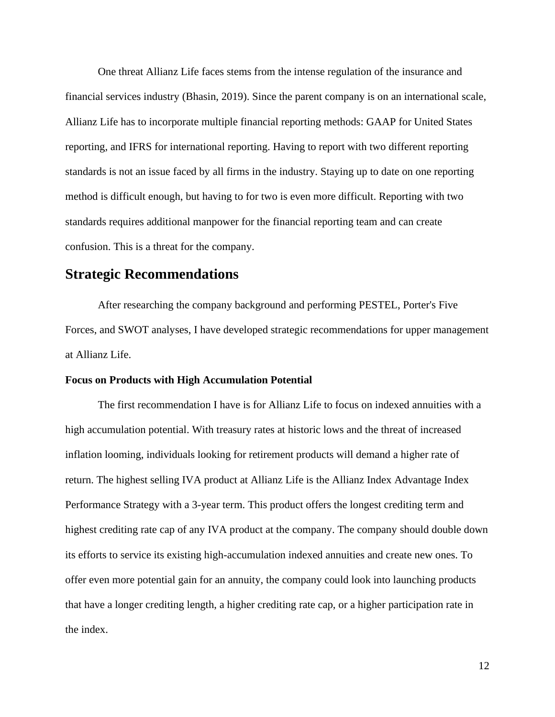One threat Allianz Life faces stems from the intense regulation of the insurance and financial services industry (Bhasin, 2019). Since the parent company is on an international scale, Allianz Life has to incorporate multiple financial reporting methods: GAAP for United States reporting, and IFRS for international reporting. Having to report with two different reporting standards is not an issue faced by all firms in the industry. Staying up to date on one reporting method is difficult enough, but having to for two is even more difficult. Reporting with two standards requires additional manpower for the financial reporting team and can create confusion. This is a threat for the company.

## **Strategic Recommendations**

After researching the company background and performing PESTEL, Porter's Five Forces, and SWOT analyses, I have developed strategic recommendations for upper management at Allianz Life.

#### **Focus on Products with High Accumulation Potential**

The first recommendation I have is for Allianz Life to focus on indexed annuities with a high accumulation potential. With treasury rates at historic lows and the threat of increased inflation looming, individuals looking for retirement products will demand a higher rate of return. The highest selling IVA product at Allianz Life is the Allianz Index Advantage Index Performance Strategy with a 3-year term. This product offers the longest crediting term and highest crediting rate cap of any IVA product at the company. The company should double down its efforts to service its existing high-accumulation indexed annuities and create new ones. To offer even more potential gain for an annuity, the company could look into launching products that have a longer crediting length, a higher crediting rate cap, or a higher participation rate in the index.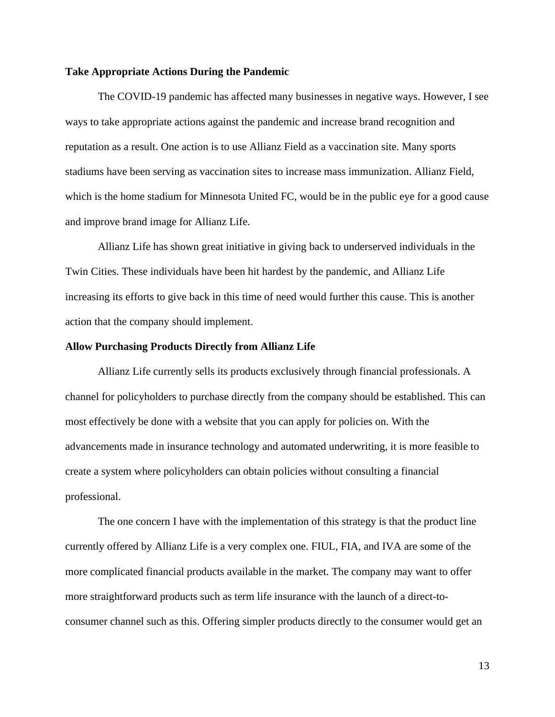#### **Take Appropriate Actions During the Pandemic**

The COVID-19 pandemic has affected many businesses in negative ways. However, I see ways to take appropriate actions against the pandemic and increase brand recognition and reputation as a result. One action is to use Allianz Field as a vaccination site. Many sports stadiums have been serving as vaccination sites to increase mass immunization. Allianz Field, which is the home stadium for Minnesota United FC, would be in the public eye for a good cause and improve brand image for Allianz Life.

Allianz Life has shown great initiative in giving back to underserved individuals in the Twin Cities. These individuals have been hit hardest by the pandemic, and Allianz Life increasing its efforts to give back in this time of need would further this cause. This is another action that the company should implement.

#### **Allow Purchasing Products Directly from Allianz Life**

Allianz Life currently sells its products exclusively through financial professionals. A channel for policyholders to purchase directly from the company should be established. This can most effectively be done with a website that you can apply for policies on. With the advancements made in insurance technology and automated underwriting, it is more feasible to create a system where policyholders can obtain policies without consulting a financial professional.

The one concern I have with the implementation of this strategy is that the product line currently offered by Allianz Life is a very complex one. FIUL, FIA, and IVA are some of the more complicated financial products available in the market. The company may want to offer more straightforward products such as term life insurance with the launch of a direct-toconsumer channel such as this. Offering simpler products directly to the consumer would get an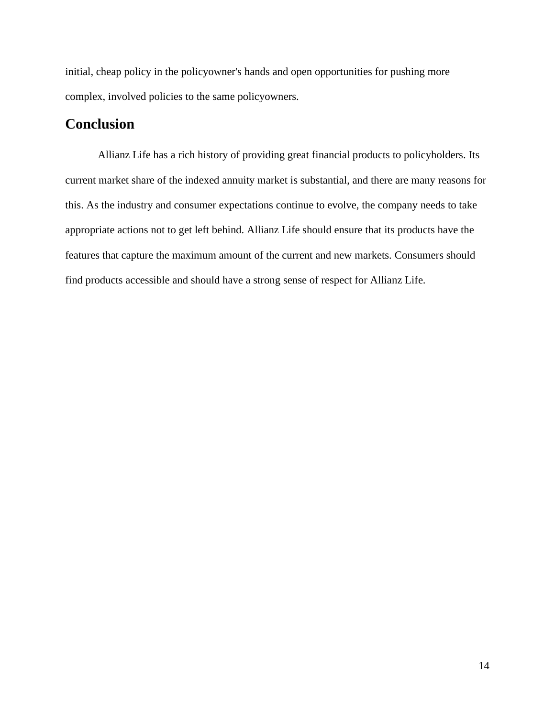initial, cheap policy in the policyowner's hands and open opportunities for pushing more complex, involved policies to the same policyowners.

## **Conclusion**

Allianz Life has a rich history of providing great financial products to policyholders. Its current market share of the indexed annuity market is substantial, and there are many reasons for this. As the industry and consumer expectations continue to evolve, the company needs to take appropriate actions not to get left behind. Allianz Life should ensure that its products have the features that capture the maximum amount of the current and new markets. Consumers should find products accessible and should have a strong sense of respect for Allianz Life.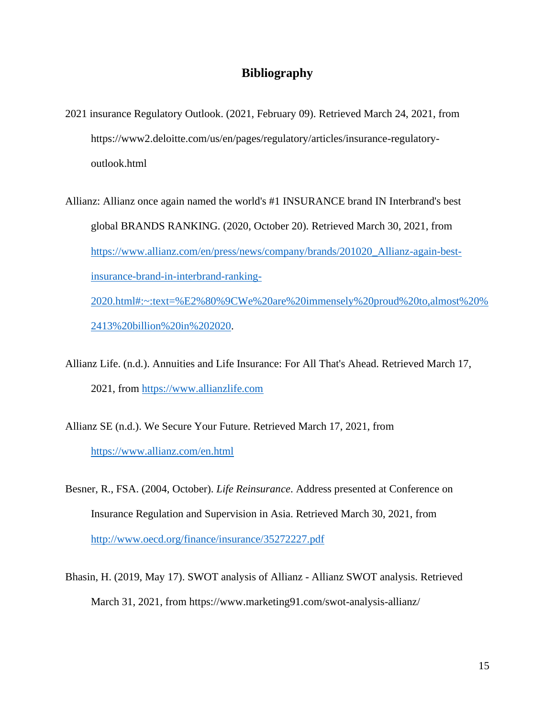## **Bibliography**

- 2021 insurance Regulatory Outlook. (2021, February 09). Retrieved March 24, 2021, from https://www2.deloitte.com/us/en/pages/regulatory/articles/insurance-regulatoryoutlook.html
- Allianz: Allianz once again named the world's #1 INSURANCE brand IN Interbrand's best global BRANDS RANKING. (2020, October 20). Retrieved March 30, 2021, from [https://www.allianz.com/en/press/news/company/brands/201020\\_Allianz-again-best](https://www.allianz.com/en/press/news/company/brands/201020_Allianz-again-best-insurance-brand-in-interbrand-ranking-2020.html#:~:text=%E2%80%9CWe%20are%20immensely%20proud%20to,almost%20%2413%20billion%20in%202020)[insurance-brand-in-interbrand-ranking-](https://www.allianz.com/en/press/news/company/brands/201020_Allianz-again-best-insurance-brand-in-interbrand-ranking-2020.html#:~:text=%E2%80%9CWe%20are%20immensely%20proud%20to,almost%20%2413%20billion%20in%202020)[2020.html#:~:text=%E2%80%9CWe%20are%20immensely%20proud%20to,almost%20%](https://www.allianz.com/en/press/news/company/brands/201020_Allianz-again-best-insurance-brand-in-interbrand-ranking-2020.html#:~:text=%E2%80%9CWe%20are%20immensely%20proud%20to,almost%20%2413%20billion%20in%202020) [2413%20billion%20in%202020.](https://www.allianz.com/en/press/news/company/brands/201020_Allianz-again-best-insurance-brand-in-interbrand-ranking-2020.html#:~:text=%E2%80%9CWe%20are%20immensely%20proud%20to,almost%20%2413%20billion%20in%202020)
- Allianz Life. (n.d.). Annuities and Life Insurance: For All That's Ahead. Retrieved March 17, 2021, from [https://www.allianzlife.com](https://www.allianzlife.com/)
- Allianz SE (n.d.). We Secure Your Future. Retrieved March 17, 2021, from <https://www.allianz.com/en.html>
- Besner, R., FSA. (2004, October). *Life Reinsurance*. Address presented at Conference on Insurance Regulation and Supervision in Asia. Retrieved March 30, 2021, from <http://www.oecd.org/finance/insurance/35272227.pdf>
- Bhasin, H. (2019, May 17). SWOT analysis of Allianz Allianz SWOT analysis. Retrieved March 31, 2021, from https://www.marketing91.com/swot-analysis-allianz/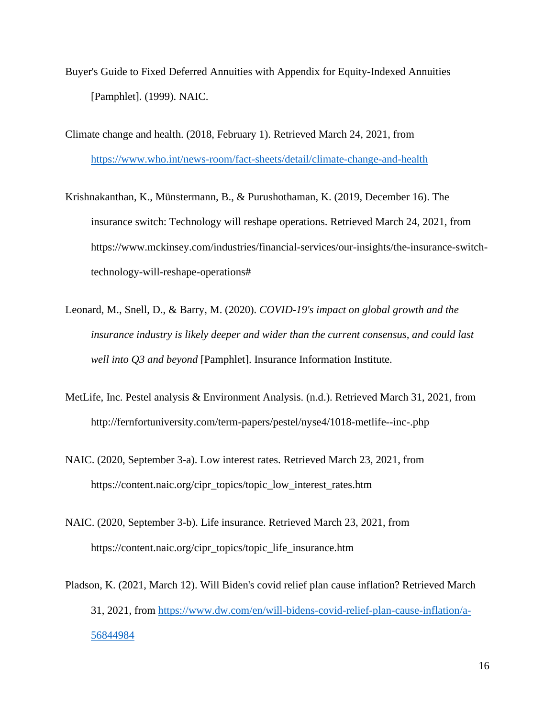- Buyer's Guide to Fixed Deferred Annuities with Appendix for Equity-Indexed Annuities [Pamphlet]. (1999). NAIC.
- Climate change and health. (2018, February 1). Retrieved March 24, 2021, from <https://www.who.int/news-room/fact-sheets/detail/climate-change-and-health>
- Krishnakanthan, K., Münstermann, B., & Purushothaman, K. (2019, December 16). The insurance switch: Technology will reshape operations. Retrieved March 24, 2021, from https://www.mckinsey.com/industries/financial-services/our-insights/the-insurance-switchtechnology-will-reshape-operations#
- Leonard, M., Snell, D., & Barry, M. (2020). *COVID-19's impact on global growth and the insurance industry is likely deeper and wider than the current consensus, and could last well into Q3 and beyond* [Pamphlet]. Insurance Information Institute.
- MetLife, Inc. Pestel analysis & Environment Analysis. (n.d.). Retrieved March 31, 2021, from http://fernfortuniversity.com/term-papers/pestel/nyse4/1018-metlife--inc-.php
- NAIC. (2020, September 3-a). Low interest rates. Retrieved March 23, 2021, from https://content.naic.org/cipr\_topics/topic\_low\_interest\_rates.htm
- NAIC. (2020, September 3-b). Life insurance. Retrieved March 23, 2021, from https://content.naic.org/cipr\_topics/topic\_life\_insurance.htm
- Pladson, K. (2021, March 12). Will Biden's covid relief plan cause inflation? Retrieved March 31, 2021, from [https://www.dw.com/en/will-bidens-covid-relief-plan-cause-inflation/a-](https://www.dw.com/en/will-bidens-covid-relief-plan-cause-inflation/a-56844984)[56844984](https://www.dw.com/en/will-bidens-covid-relief-plan-cause-inflation/a-56844984)